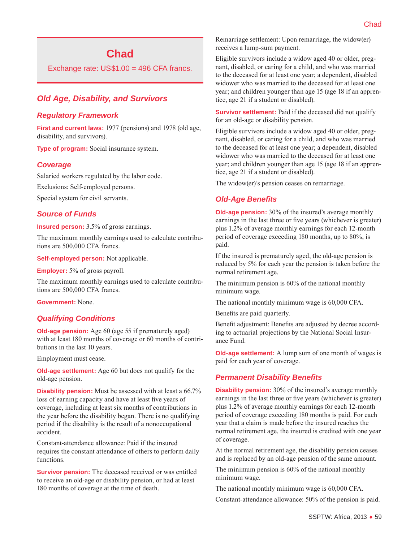# **Chad**

Exchange rate: US\$1.00 = 496 CFA francs.

# *Old Age, Disability, and Survivors*

## *Regulatory Framework*

**First and current laws:** 1977 (pensions) and 1978 (old age, disability, and survivors).

**Type of program:** Social insurance system.

## *Coverage*

Salaried workers regulated by the labor code.

Exclusions: Self-employed persons.

Special system for civil servants.

#### *Source of Funds*

**Insured person:** 3.5% of gross earnings.

The maximum monthly earnings used to calculate contributions are 500,000 CFA francs.

**Self-employed person:** Not applicable.

**Employer:** 5% of gross payroll.

The maximum monthly earnings used to calculate contributions are 500,000 CFA francs.

**Government:** None.

## *Qualifying Conditions*

**Old-age pension:** Age 60 (age 55 if prematurely aged) with at least 180 months of coverage or 60 months of contributions in the last 10 years.

Employment must cease.

**Old-age settlement:** Age 60 but does not qualify for the old-age pension.

**Disability pension:** Must be assessed with at least a 66.7% loss of earning capacity and have at least five years of coverage, including at least six months of contributions in the year before the disability began. There is no qualifying period if the disability is the result of a nonoccupational accident.

Constant-attendance allowance: Paid if the insured requires the constant attendance of others to perform daily functions.

**Survivor pension:** The deceased received or was entitled to receive an old-age or disability pension, or had at least 180 months of coverage at the time of death.

Remarriage settlement: Upon remarriage, the widow(er) receives a lump-sum payment.

Eligible survivors include a widow aged 40 or older, pregnant, disabled, or caring for a child, and who was married to the deceased for at least one year; a dependent, disabled widower who was married to the deceased for at least one year; and children younger than age 15 (age 18 if an apprentice, age 21 if a student or disabled).

**Survivor settlement:** Paid if the deceased did not qualify for an old-age or disability pension.

Eligible survivors include a widow aged 40 or older, pregnant, disabled, or caring for a child, and who was married to the deceased for at least one year; a dependent, disabled widower who was married to the deceased for at least one year; and children younger than age 15 (age 18 if an apprentice, age 21 if a student or disabled).

The widow(er)'s pension ceases on remarriage.

## *Old-Age Benefits*

**Old-age pension:** 30% of the insured's average monthly earnings in the last three or five years (whichever is greater) plus 1.2% of average monthly earnings for each 12-month period of coverage exceeding 180 months, up to 80%, is paid.

If the insured is prematurely aged, the old-age pension is reduced by 5% for each year the pension is taken before the normal retirement age.

The minimum pension is 60% of the national monthly minimum wage.

The national monthly minimum wage is 60,000 CFA.

Benefits are paid quarterly.

Benefit adjustment: Benefits are adjusted by decree according to actuarial projections by the National Social Insurance Fund.

**Old-age settlement:** A lump sum of one month of wages is paid for each year of coverage.

## *Permanent Disability Benefits*

**Disability pension:** 30% of the insured's average monthly earnings in the last three or five years (whichever is greater) plus 1.2% of average monthly earnings for each 12-month period of coverage exceeding 180 months is paid. For each year that a claim is made before the insured reaches the normal retirement age, the insured is credited with one year of coverage.

At the normal retirement age, the disability pension ceases and is replaced by an old-age pension of the same amount.

The minimum pension is 60% of the national monthly minimum wage.

The national monthly minimum wage is 60,000 CFA.

Constant-attendance allowance: 50% of the pension is paid.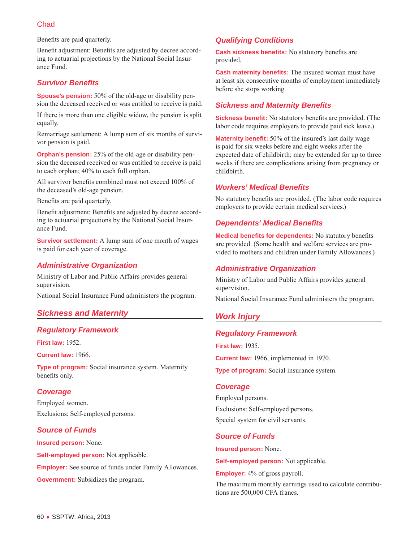Benefits are paid quarterly.

Benefit adjustment: Benefits are adjusted by decree according to actuarial projections by the National Social Insurance Fund.

## *Survivor Benefits*

**Spouse's pension:** 50% of the old-age or disability pension the deceased received or was entitled to receive is paid.

If there is more than one eligible widow, the pension is split equally.

Remarriage settlement: A lump sum of six months of survivor pension is paid.

**Orphan's pension:** 25% of the old-age or disability pension the deceased received or was entitled to receive is paid to each orphan; 40% to each full orphan.

All survivor benefits combined must not exceed 100% of the deceased's old-age pension.

Benefits are paid quarterly.

Benefit adjustment: Benefits are adjusted by decree according to actuarial projections by the National Social Insurance Fund.

**Survivor settlement:** A lump sum of one month of wages is paid for each year of coverage.

## *Administrative Organization*

Ministry of Labor and Public Affairs provides general supervision.

National Social Insurance Fund administers the program.

## *Sickness and Maternity*

#### *Regulatory Framework*

**First law:** 1952.

**Current law:** 1966.

**Type of program:** Social insurance system. Maternity benefits only.

## *Coverage*

Employed women. Exclusions: Self-employed persons.

#### *Source of Funds*

**Insured person:** None.

**Self-employed person:** Not applicable. **Employer:** See source of funds under Family Allowances.

**Government:** Subsidizes the program.

## *Qualifying Conditions*

**Cash sickness benefits:** No statutory benefits are provided.

**Cash maternity benefits:** The insured woman must have at least six consecutive months of employment immediately before she stops working.

## *Sickness and Maternity Benefits*

**Sickness benefit:** No statutory benefits are provided. (The labor code requires employers to provide paid sick leave.)

**Maternity benefit:** 50% of the insured's last daily wage is paid for six weeks before and eight weeks after the expected date of childbirth; may be extended for up to three weeks if there are complications arising from pregnancy or childbirth.

#### *Workers' Medical Benefits*

No statutory benefits are provided. (The labor code requires employers to provide certain medical services.)

#### *Dependents' Medical Benefits*

**Medical benefits for dependents:** No statutory benefits are provided. (Some health and welfare services are provided to mothers and children under Family Allowances.)

#### *Administrative Organization*

Ministry of Labor and Public Affairs provides general supervision.

National Social Insurance Fund administers the program.

## *Work Injury*

#### *Regulatory Framework*

**First law:** 1935.

**Current law:** 1966, implemented in 1970.

**Type of program:** Social insurance system.

#### *Coverage*

Employed persons. Exclusions: Self-employed persons. Special system for civil servants.

#### *Source of Funds*

**Insured person:** None.

**Self-employed person:** Not applicable.

**Employer:** 4% of gross payroll.

The maximum monthly earnings used to calculate contributions are 500,000 CFA francs.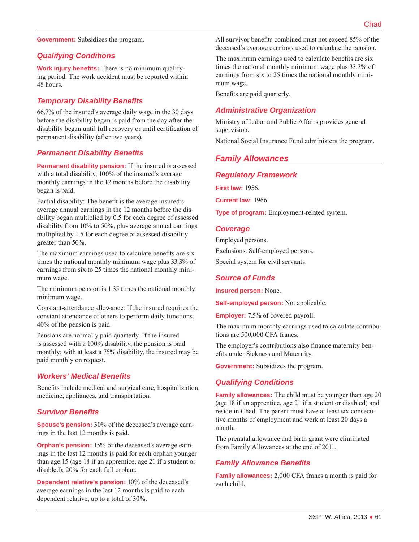**Government:** Subsidizes the program.

## *Qualifying Conditions*

**Work injury benefits:** There is no minimum qualifying period. The work accident must be reported within 48 hours.

## *Temporary Disability Benefits*

66.7% of the insured's average daily wage in the 30 days before the disability began is paid from the day after the disability began until full recovery or until certification of permanent disability (after two years).

#### *Permanent Disability Benefits*

**Permanent disability pension:** If the insured is assessed with a total disability, 100% of the insured's average monthly earnings in the 12 months before the disability began is paid.

Partial disability: The benefit is the average insured's average annual earnings in the 12 months before the disability began multiplied by 0.5 for each degree of assessed disability from 10% to 50%, plus average annual earnings multiplied by 1.5 for each degree of assessed disability greater than 50%.

The maximum earnings used to calculate benefits are six times the national monthly minimum wage plus 33.3% of earnings from six to 25 times the national monthly minimum wage.

The minimum pension is 1.35 times the national monthly minimum wage.

Constant-attendance allowance: If the insured requires the constant attendance of others to perform daily functions, 40% of the pension is paid.

Pensions are normally paid quarterly. If the insured is assessed with a 100% disability, the pension is paid monthly; with at least a 75% disability, the insured may be paid monthly on request.

## *Workers' Medical Benefits*

Benefits include medical and surgical care, hospitalization, medicine, appliances, and transportation.

#### *Survivor Benefits*

**Spouse's pension:** 30% of the deceased's average earnings in the last 12 months is paid.

**Orphan's pension:** 15% of the deceased's average earnings in the last 12 months is paid for each orphan younger than age 15 (age 18 if an apprentice, age 21 if a student or disabled); 20% for each full orphan.

**Dependent relative's pension:** 10% of the deceased's average earnings in the last 12 months is paid to each dependent relative, up to a total of 30%.

All survivor benefits combined must not exceed 85% of the deceased's average earnings used to calculate the pension.

The maximum earnings used to calculate benefits are six times the national monthly minimum wage plus 33.3% of earnings from six to 25 times the national monthly minimum wage.

Benefits are paid quarterly.

#### *Administrative Organization*

Ministry of Labor and Public Affairs provides general supervision.

National Social Insurance Fund administers the program.

## *Family Allowances*

#### *Regulatory Framework*

**First law:** 1956.

**Current law:** 1966.

**Type of program:** Employment-related system.

#### *Coverage*

Employed persons. Exclusions: Self-employed persons. Special system for civil servants.

#### *Source of Funds*

**Insured person:** None.

**Self-employed person:** Not applicable.

**Employer:** 7.5% of covered payroll.

The maximum monthly earnings used to calculate contributions are 500,000 CFA francs.

The employer's contributions also finance maternity benefits under Sickness and Maternity.

**Government:** Subsidizes the program.

#### *Qualifying Conditions*

**Family allowances:** The child must be younger than age 20 (age 18 if an apprentice, age 21 if a student or disabled) and reside in Chad. The parent must have at least six consecutive months of employment and work at least 20 days a month.

The prenatal allowance and birth grant were eliminated from Family Allowances at the end of 2011.

#### *Family Allowance Benefits*

**Family allowances:** 2,000 CFA francs a month is paid for each child.